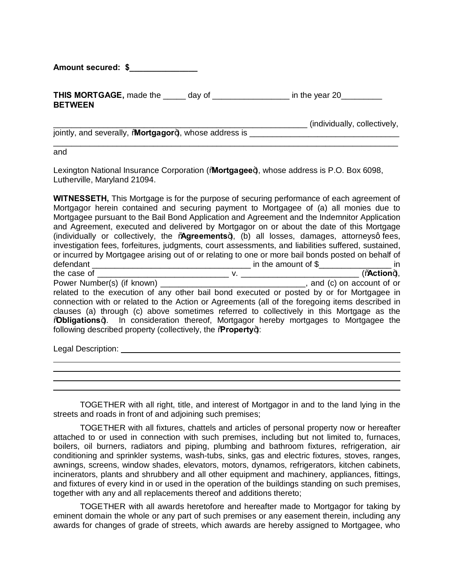**Amount secured: \$\_\_\_\_\_\_\_\_\_\_\_\_\_\_\_**

| <b>THIS MORTGAGE, made the</b> | dav of | in the year 20 |
|--------------------------------|--------|----------------|
| <b>BETWEEN</b>                 |        |                |

\_\_\_\_\_\_\_\_\_\_\_\_\_\_\_\_\_\_\_\_\_\_\_\_\_\_\_\_\_\_\_\_\_\_\_\_\_\_\_\_\_\_\_\_\_\_\_\_\_\_\_\_\_\_\_\_ (individually, collectively,

jointly, and severally, **Mortgagor**+, whose address is

and

Lexington National Insurance Corporation (**Mortgagee**+), whose address is P.O. Box 6098, Lutherville, Maryland 21094.

\_\_\_\_\_\_\_\_\_\_\_\_\_\_\_\_\_\_\_\_\_\_\_\_\_\_\_\_\_\_\_\_\_\_\_\_\_\_\_\_\_\_\_\_\_\_\_\_\_\_\_\_\_\_\_\_\_\_\_\_\_\_\_\_\_\_\_\_\_\_\_\_\_\_\_\_

|                                                                     | <b>WITNESSETH,</b> This Mortgage is for the purpose of securing performance of each agreement of    |  |
|---------------------------------------------------------------------|-----------------------------------------------------------------------------------------------------|--|
|                                                                     | Mortgagor herein contained and securing payment to Mortgagee of (a) all monies due to               |  |
|                                                                     | Mortgagee pursuant to the Bail Bond Application and Agreement and the Indemnitor Application        |  |
|                                                                     | and Agreement, executed and delivered by Mortgagor on or about the date of this Mortgage            |  |
|                                                                     | (individually or collectively, the <b>Agreements+)</b> , (b) all losses, damages, attorneysq fees,  |  |
|                                                                     | investigation fees, forfeitures, judgments, court assessments, and liabilities suffered, sustained, |  |
|                                                                     | or incurred by Mortgagee arising out of or relating to one or more bail bonds posted on behalf of   |  |
|                                                                     |                                                                                                     |  |
| defendant                                                           | <u>_________________________</u> in the amount of \$___________________ in                          |  |
| the case of the case of                                             |                                                                                                     |  |
|                                                                     |                                                                                                     |  |
|                                                                     | related to the execution of any other bail bond executed or posted by or for Mortgagee in           |  |
|                                                                     | connection with or related to the Action or Agreements (all of the foregoing items described in     |  |
|                                                                     | clauses (a) through (c) above sometimes referred to collectively in this Mortgage as the            |  |
|                                                                     | <b>%Dbligations</b> +). In consideration thereof, Mortgagor hereby mortgages to Mortgagee the       |  |
| following described property (collectively, the <b>Rroperty+)</b> : |                                                                                                     |  |

Legal Description:

TOGETHER with all right, title, and interest of Mortgagor in and to the land lying in the streets and roads in front of and adjoining such premises;

TOGETHER with all fixtures, chattels and articles of personal property now or hereafter attached to or used in connection with such premises, including but not limited to, furnaces, boilers, oil burners, radiators and piping, plumbing and bathroom fixtures, refrigeration, air conditioning and sprinkler systems, wash-tubs, sinks, gas and electric fixtures, stoves, ranges, awnings, screens, window shades, elevators, motors, dynamos, refrigerators, kitchen cabinets, incinerators, plants and shrubbery and all other equipment and machinery, appliances, fittings, and fixtures of every kind in or used in the operation of the buildings standing on such premises, together with any and all replacements thereof and additions thereto;

TOGETHER with all awards heretofore and hereafter made to Mortgagor for taking by eminent domain the whole or any part of such premises or any easement therein, including any awards for changes of grade of streets, which awards are hereby assigned to Mortgagee, who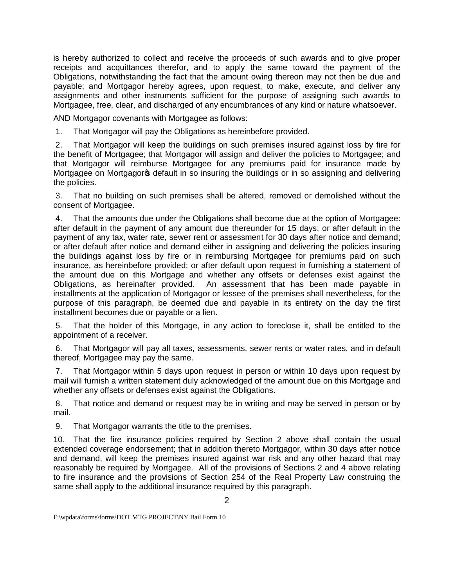is hereby authorized to collect and receive the proceeds of such awards and to give proper receipts and acquittances therefor, and to apply the same toward the payment of the Obligations, notwithstanding the fact that the amount owing thereon may not then be due and payable; and Mortgagor hereby agrees, upon request, to make, execute, and deliver any assignments and other instruments sufficient for the purpose of assigning such awards to Mortgagee, free, clear, and discharged of any encumbrances of any kind or nature whatsoever.

AND Mortgagor covenants with Mortgagee as follows:

1. That Mortgagor will pay the Obligations as hereinbefore provided.

2. That Mortgagor will keep the buildings on such premises insured against loss by fire for the benefit of Mortgagee; that Mortgagor will assign and deliver the policies to Mortgagee; and that Mortgagor will reimburse Mortgagee for any premiums paid for insurance made by Mortgagee on Mortgagor of default in so insuring the buildings or in so assigning and delivering the policies.

3. That no building on such premises shall be altered, removed or demolished without the consent of Mortgagee.

4. That the amounts due under the Obligations shall become due at the option of Mortgagee: after default in the payment of any amount due thereunder for 15 days; or after default in the payment of any tax, water rate, sewer rent or assessment for 30 days after notice and demand; or after default after notice and demand either in assigning and delivering the policies insuring the buildings against loss by fire or in reimbursing Mortgagee for premiums paid on such insurance, as hereinbefore provided; or after default upon request in furnishing a statement of the amount due on this Mortgage and whether any offsets or defenses exist against the Obligations, as hereinafter provided. An assessment that has been made payable in installments at the application of Mortgagor or lessee of the premises shall nevertheless, for the purpose of this paragraph, be deemed due and payable in its entirety on the day the first installment becomes due or payable or a lien.

5. That the holder of this Mortgage, in any action to foreclose it, shall be entitled to the appointment of a receiver.

6. That Mortgagor will pay all taxes, assessments, sewer rents or water rates, and in default thereof, Mortgagee may pay the same.

7. That Mortgagor within 5 days upon request in person or within 10 days upon request by mail will furnish a written statement duly acknowledged of the amount due on this Mortgage and whether any offsets or defenses exist against the Obligations.

8. That notice and demand or request may be in writing and may be served in person or by mail.

9. That Mortgagor warrants the title to the premises.

10. That the fire insurance policies required by Section 2 above shall contain the usual extended coverage endorsement; that in addition thereto Mortgagor, within 30 days after notice and demand, will keep the premises insured against war risk and any other hazard that may reasonably be required by Mortgagee. All of the provisions of Sections 2 and 4 above relating to fire insurance and the provisions of Section 254 of the Real Property Law construing the same shall apply to the additional insurance required by this paragraph.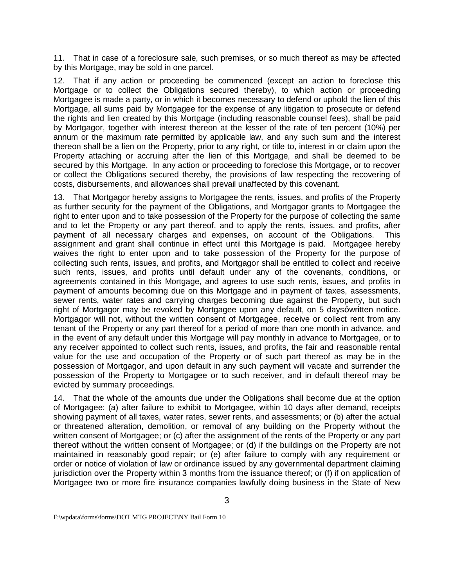11. That in case of a foreclosure sale, such premises, or so much thereof as may be affected by this Mortgage, may be sold in one parcel.

12. That if any action or proceeding be commenced (except an action to foreclose this Mortgage or to collect the Obligations secured thereby), to which action or proceeding Mortgagee is made a party, or in which it becomes necessary to defend or uphold the lien of this Mortgage, all sums paid by Mortgagee for the expense of any litigation to prosecute or defend the rights and lien created by this Mortgage (including reasonable counsel fees), shall be paid by Mortgagor, together with interest thereon at the lesser of the rate of ten percent (10%) per annum or the maximum rate permitted by applicable law, and any such sum and the interest thereon shall be a lien on the Property, prior to any right, or title to, interest in or claim upon the Property attaching or accruing after the lien of this Mortgage, and shall be deemed to be secured by this Mortgage. In any action or proceeding to foreclose this Mortgage, or to recover or collect the Obligations secured thereby, the provisions of law respecting the recovering of costs, disbursements, and allowances shall prevail unaffected by this covenant.

13. That Mortgagor hereby assigns to Mortgagee the rents, issues, and profits of the Property as further security for the payment of the Obligations, and Mortgagor grants to Mortgagee the right to enter upon and to take possession of the Property for the purpose of collecting the same and to let the Property or any part thereof, and to apply the rents, issues, and profits, after payment of all necessary charges and expenses, on account of the Obligations. This assignment and grant shall continue in effect until this Mortgage is paid. Mortgagee hereby waives the right to enter upon and to take possession of the Property for the purpose of collecting such rents, issues, and profits, and Mortgagor shall be entitled to collect and receive such rents, issues, and profits until default under any of the covenants, conditions, or agreements contained in this Mortgage, and agrees to use such rents, issues, and profits in payment of amounts becoming due on this Mortgage and in payment of taxes, assessments, sewer rents, water rates and carrying charges becoming due against the Property, but such right of Mortgagor may be revoked by Mortgagee upon any default, on 5 daysqwritten notice. Mortgagor will not, without the written consent of Mortgagee, receive or collect rent from any tenant of the Property or any part thereof for a period of more than one month in advance, and in the event of any default under this Mortgage will pay monthly in advance to Mortgagee, or to any receiver appointed to collect such rents, issues, and profits, the fair and reasonable rental value for the use and occupation of the Property or of such part thereof as may be in the possession of Mortgagor, and upon default in any such payment will vacate and surrender the possession of the Property to Mortgagee or to such receiver, and in default thereof may be evicted by summary proceedings.

14. That the whole of the amounts due under the Obligations shall become due at the option of Mortgagee: (a) after failure to exhibit to Mortgagee, within 10 days after demand, receipts showing payment of all taxes, water rates, sewer rents, and assessments; or (b) after the actual or threatened alteration, demolition, or removal of any building on the Property without the written consent of Mortgagee; or (c) after the assignment of the rents of the Property or any part thereof without the written consent of Mortgagee; or (d) if the buildings on the Property are not maintained in reasonably good repair; or (e) after failure to comply with any requirement or order or notice of violation of law or ordinance issued by any governmental department claiming jurisdiction over the Property within 3 months from the issuance thereof; or (f) if on application of Mortgagee two or more fire insurance companies lawfully doing business in the State of New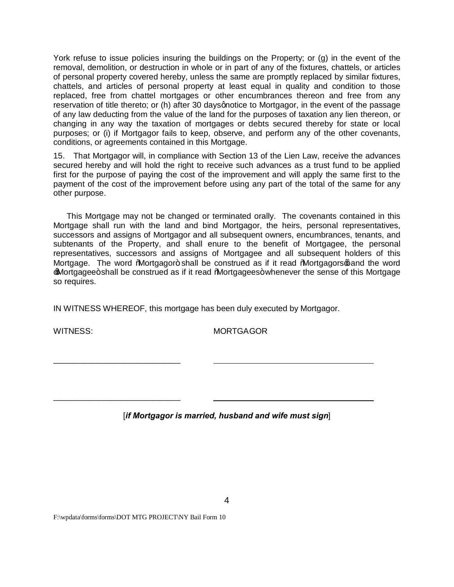York refuse to issue policies insuring the buildings on the Property; or (g) in the event of the removal, demolition, or destruction in whole or in part of any of the fixtures, chattels, or articles of personal property covered hereby, unless the same are promptly replaced by similar fixtures, chattels, and articles of personal property at least equal in quality and condition to those replaced, free from chattel mortgages or other encumbrances thereon and free from any reservation of title thereto; or (h) after 30 days anotice to Mortgagor, in the event of the passage of any law deducting from the value of the land for the purposes of taxation any lien thereon, or changing in any way the taxation of mortgages or debts secured thereby for state or local purposes; or (i) if Mortgagor fails to keep, observe, and perform any of the other covenants, conditions, or agreements contained in this Mortgage.

15. That Mortgagor will, in compliance with Section 13 of the Lien Law, receive the advances secured hereby and will hold the right to receive such advances as a trust fund to be applied first for the purpose of paying the cost of the improvement and will apply the same first to the payment of the cost of the improvement before using any part of the total of the same for any other purpose.

This Mortgage may not be changed or terminated orally. The covenants contained in this Mortgage shall run with the land and bind Mortgagor, the heirs, personal representatives, successors and assigns of Mortgagor and all subsequent owners, encumbrances, tenants, and subtenants of the Property, and shall enure to the benefit of Mortgagee, the personal representatives, successors and assigns of Mortgagee and all subsequent holders of this Mortgage. The word "Mortgagor+ shall be construed as if it read "Mortgagors of and the word  $\pm$ Mortgagee+shall be construed as if it read %Mortgagees+whenever the sense of this Mortgage so requires.

IN WITNESS WHEREOF, this mortgage has been duly executed by Mortgagor.

\_\_\_\_\_\_\_\_\_\_\_\_\_\_\_\_\_\_\_\_\_\_\_\_\_\_\_\_

\_\_\_\_\_\_\_\_\_\_\_\_\_\_\_\_\_\_\_\_\_\_\_\_\_\_\_\_

WITNESS: MORTGAGOR

[*if Mortgagor is married, husband and wife must sign*]

F:\wpdata\forms\forms\DOT MTG PROJECT\NY Bail Form 10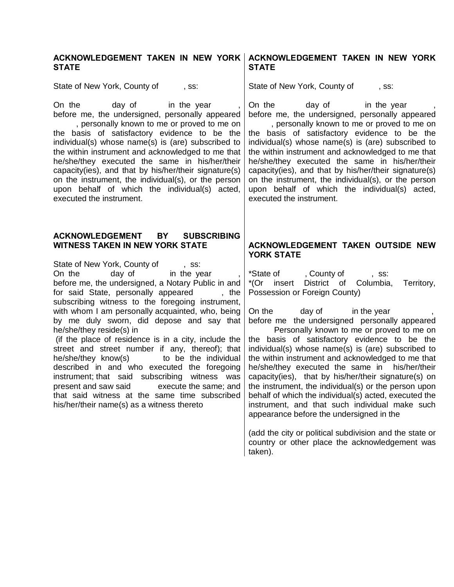## **ACKNOWLEDGEMENT TAKEN IN NEW YORK ACKNOWLEDGEMENT TAKEN IN NEW YORK STATE STATE**

State of New York, County of , ss: On the day of in the year before me, the undersigned, personally appeared , personally known to me or proved to me on the basis of satisfactory evidence to be the individual(s) whose name(s) is (are) subscribed to the within instrument and acknowledged to me that he/she/they executed the same in his/her/their capacity(ies), and that by his/her/their signature(s) on the instrument, the individual(s), or the person upon behalf of which the individual(s) acted, executed the instrument. **ACKNOWLEDGEMENT BY SUBSCRIBING WITNESS TAKEN IN NEW YORK STATE** State of New York, County of , ss: On the day of in the year before me, the undersigned, a Notary Public in and for said State, personally appeared , the subscribing witness to the foregoing instrument, with whom I am personally acquainted, who, being by me duly sworn, did depose and say that he/she/they reside(s) in (if the place of residence is in a city, include the street and street number if any, thereof); that he/she/they know(s) to be the individual described in and who executed the foregoing instrument; that said subscribing witness was present and saw said execute the same; and that said witness at the same time subscribed his/her/their name(s) as a witness thereto State of New York, County of , ss: On the day of in the year before me, the undersigned, personally appeared , personally known to me or proved to me on the basis of satisfactory evidence to be the individual(s) whose name(s) is (are) subscribed to the within instrument and acknowledged to me that he/she/they executed the same in his/her/their capacity(ies), and that by his/her/their signature(s) on the instrument, the individual(s), or the person upon behalf of which the individual(s) acted, executed the instrument. **ACKNOWLEDGEMENT TAKEN OUTSIDE NEW YORK STATE** \*State of , County of , ss: \*(Or insert District of Columbia, Territory, Possession or Foreign County) On the day of in the year before me the undersigned personally appeared Personally known to me or proved to me on the basis of satisfactory evidence to be the individual(s) whose name(s) is (are) subscribed to the within instrument and acknowledged to me that he/she/they executed the same in his/her/their capacity(ies), that by his/her/their signature(s) on the instrument, the individual(s) or the person upon behalf of which the individual(s) acted, executed the instrument, and that such individual make such appearance before the undersigned in the (add the city or political subdivision and the state or country or other place the acknowledgement was taken).